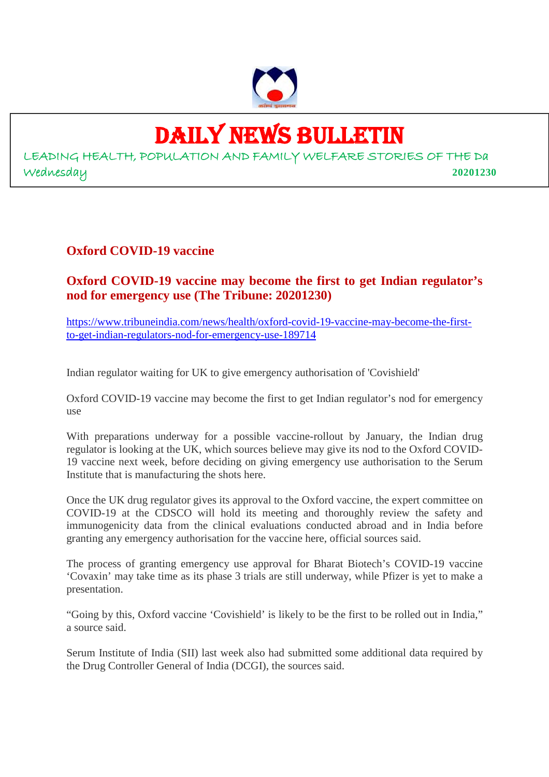

## DAILY NEWS BULLETIN

LEADING HEALTH, POPULATION AND FAMILY WELFARE STORIES OF THE Da Wednesday **20201230**

#### **Oxford COVID-19 vaccine**

#### **Oxford COVID-19 vaccine may become the first to get Indian regulator's nod for emergency use (The Tribune: 20201230)**

https://www.tribuneindia.com/news/health/oxford-covid-19-vaccine-may-become-the-firstto-get-indian-regulators-nod-for-emergency-use-189714

Indian regulator waiting for UK to give emergency authorisation of 'Covishield'

Oxford COVID-19 vaccine may become the first to get Indian regulator's nod for emergency use

With preparations underway for a possible vaccine-rollout by January, the Indian drug regulator is looking at the UK, which sources believe may give its nod to the Oxford COVID-19 vaccine next week, before deciding on giving emergency use authorisation to the Serum Institute that is manufacturing the shots here.

Once the UK drug regulator gives its approval to the Oxford vaccine, the expert committee on COVID-19 at the CDSCO will hold its meeting and thoroughly review the safety and immunogenicity data from the clinical evaluations conducted abroad and in India before granting any emergency authorisation for the vaccine here, official sources said.

The process of granting emergency use approval for Bharat Biotech's COVID-19 vaccine 'Covaxin' may take time as its phase 3 trials are still underway, while Pfizer is yet to make a presentation.

"Going by this, Oxford vaccine 'Covishield' is likely to be the first to be rolled out in India," a source said.

Serum Institute of India (SII) last week also had submitted some additional data required by the Drug Controller General of India (DCGI), the sources said.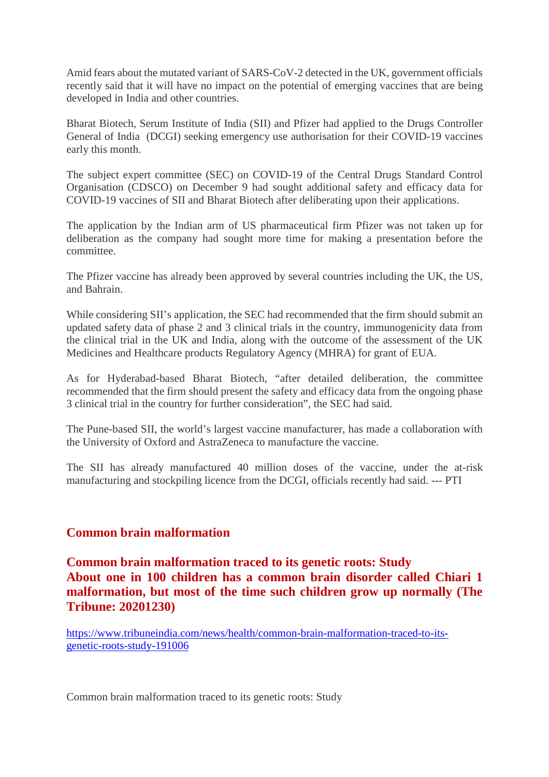Amid fears about the mutated variant of SARS-CoV-2 detected in the UK, government officials recently said that it will have no impact on the potential of emerging vaccines that are being developed in India and other countries.

Bharat Biotech, Serum Institute of India (SII) and Pfizer had applied to the Drugs Controller General of India (DCGI) seeking emergency use authorisation for their COVID-19 vaccines early this month.

The subject expert committee (SEC) on COVID-19 of the Central Drugs Standard Control Organisation (CDSCO) on December 9 had sought additional safety and efficacy data for COVID-19 vaccines of SII and Bharat Biotech after deliberating upon their applications.

The application by the Indian arm of US pharmaceutical firm Pfizer was not taken up for deliberation as the company had sought more time for making a presentation before the committee.

The Pfizer vaccine has already been approved by several countries including the UK, the US, and Bahrain.

While considering SII's application, the SEC had recommended that the firm should submit an updated safety data of phase 2 and 3 clinical trials in the country, immunogenicity data from the clinical trial in the UK and India, along with the outcome of the assessment of the UK Medicines and Healthcare products Regulatory Agency (MHRA) for grant of EUA.

As for Hyderabad-based Bharat Biotech, "after detailed deliberation, the committee recommended that the firm should present the safety and efficacy data from the ongoing phase 3 clinical trial in the country for further consideration", the SEC had said.

The Pune-based SII, the world's largest vaccine manufacturer, has made a collaboration with the University of Oxford and AstraZeneca to manufacture the vaccine.

The SII has already manufactured 40 million doses of the vaccine, under the at-risk manufacturing and stockpiling licence from the DCGI, officials recently had said. --- PTI

#### **Common brain malformation**

**Common brain malformation traced to its genetic roots: Study About one in 100 children has a common brain disorder called Chiari 1 malformation, but most of the time such children grow up normally (The Tribune: 20201230)**

https://www.tribuneindia.com/news/health/common-brain-malformation-traced-to-itsgenetic-roots-study-191006

Common brain malformation traced to its genetic roots: Study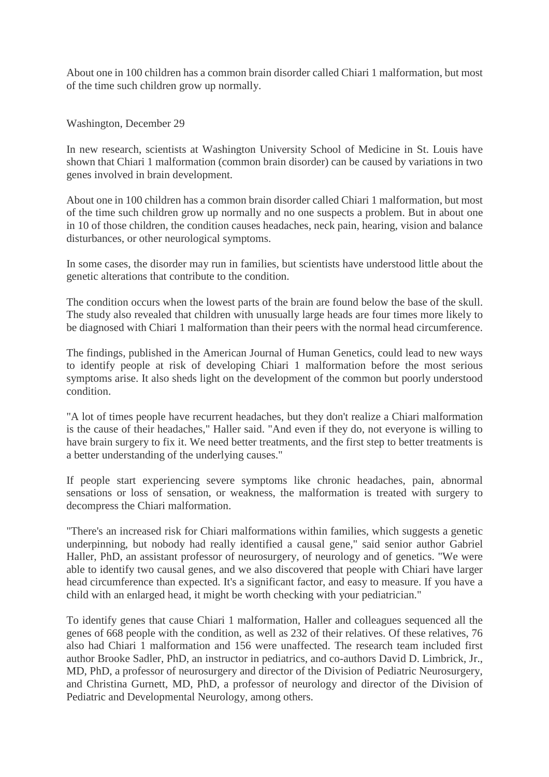About one in 100 children has a common brain disorder called Chiari 1 malformation, but most of the time such children grow up normally.

Washington, December 29

In new research, scientists at Washington University School of Medicine in St. Louis have shown that Chiari 1 malformation (common brain disorder) can be caused by variations in two genes involved in brain development.

About one in 100 children has a common brain disorder called Chiari 1 malformation, but most of the time such children grow up normally and no one suspects a problem. But in about one in 10 of those children, the condition causes headaches, neck pain, hearing, vision and balance disturbances, or other neurological symptoms.

In some cases, the disorder may run in families, but scientists have understood little about the genetic alterations that contribute to the condition.

The condition occurs when the lowest parts of the brain are found below the base of the skull. The study also revealed that children with unusually large heads are four times more likely to be diagnosed with Chiari 1 malformation than their peers with the normal head circumference.

The findings, published in the American Journal of Human Genetics, could lead to new ways to identify people at risk of developing Chiari 1 malformation before the most serious symptoms arise. It also sheds light on the development of the common but poorly understood condition.

"A lot of times people have recurrent headaches, but they don't realize a Chiari malformation is the cause of their headaches," Haller said. "And even if they do, not everyone is willing to have brain surgery to fix it. We need better treatments, and the first step to better treatments is a better understanding of the underlying causes."

If people start experiencing severe symptoms like chronic headaches, pain, abnormal sensations or loss of sensation, or weakness, the malformation is treated with surgery to decompress the Chiari malformation.

"There's an increased risk for Chiari malformations within families, which suggests a genetic underpinning, but nobody had really identified a causal gene," said senior author Gabriel Haller, PhD, an assistant professor of neurosurgery, of neurology and of genetics. "We were able to identify two causal genes, and we also discovered that people with Chiari have larger head circumference than expected. It's a significant factor, and easy to measure. If you have a child with an enlarged head, it might be worth checking with your pediatrician."

To identify genes that cause Chiari 1 malformation, Haller and colleagues sequenced all the genes of 668 people with the condition, as well as 232 of their relatives. Of these relatives, 76 also had Chiari 1 malformation and 156 were unaffected. The research team included first author Brooke Sadler, PhD, an instructor in pediatrics, and co-authors David D. Limbrick, Jr., MD, PhD, a professor of neurosurgery and director of the Division of Pediatric Neurosurgery, and Christina Gurnett, MD, PhD, a professor of neurology and director of the Division of Pediatric and Developmental Neurology, among others.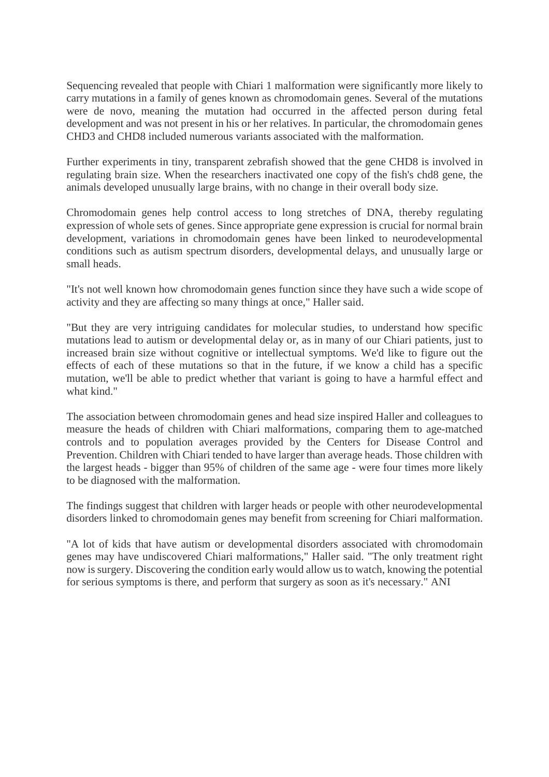Sequencing revealed that people with Chiari 1 malformation were significantly more likely to carry mutations in a family of genes known as chromodomain genes. Several of the mutations were de novo, meaning the mutation had occurred in the affected person during fetal development and was not present in his or her relatives. In particular, the chromodomain genes CHD3 and CHD8 included numerous variants associated with the malformation.

Further experiments in tiny, transparent zebrafish showed that the gene CHD8 is involved in regulating brain size. When the researchers inactivated one copy of the fish's chd8 gene, the animals developed unusually large brains, with no change in their overall body size.

Chromodomain genes help control access to long stretches of DNA, thereby regulating expression of whole sets of genes. Since appropriate gene expression is crucial for normal brain development, variations in chromodomain genes have been linked to neurodevelopmental conditions such as autism spectrum disorders, developmental delays, and unusually large or small heads.

"It's not well known how chromodomain genes function since they have such a wide scope of activity and they are affecting so many things at once," Haller said.

"But they are very intriguing candidates for molecular studies, to understand how specific mutations lead to autism or developmental delay or, as in many of our Chiari patients, just to increased brain size without cognitive or intellectual symptoms. We'd like to figure out the effects of each of these mutations so that in the future, if we know a child has a specific mutation, we'll be able to predict whether that variant is going to have a harmful effect and what kind."

The association between chromodomain genes and head size inspired Haller and colleagues to measure the heads of children with Chiari malformations, comparing them to age-matched controls and to population averages provided by the Centers for Disease Control and Prevention. Children with Chiari tended to have larger than average heads. Those children with the largest heads - bigger than 95% of children of the same age - were four times more likely to be diagnosed with the malformation.

The findings suggest that children with larger heads or people with other neurodevelopmental disorders linked to chromodomain genes may benefit from screening for Chiari malformation.

"A lot of kids that have autism or developmental disorders associated with chromodomain genes may have undiscovered Chiari malformations," Haller said. "The only treatment right now is surgery. Discovering the condition early would allow us to watch, knowing the potential for serious symptoms is there, and perform that surgery as soon as it's necessary." ANI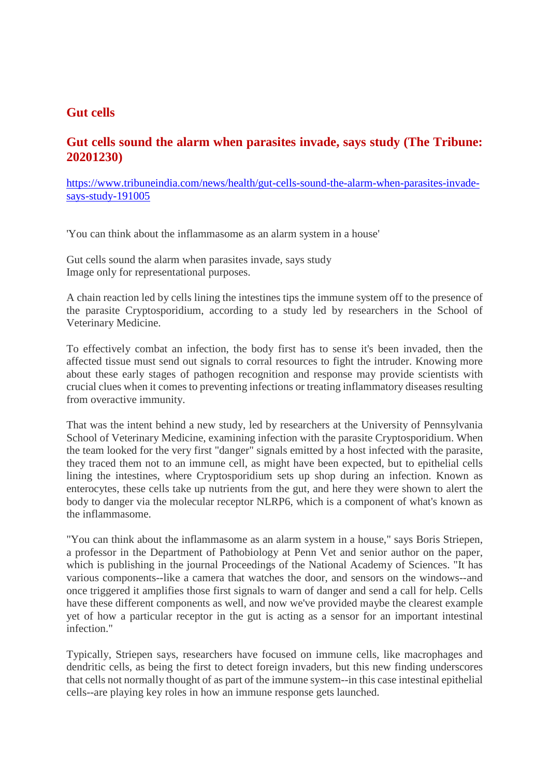#### **Gut cells**

#### **Gut cells sound the alarm when parasites invade, says study (The Tribune: 20201230)**

https://www.tribuneindia.com/news/health/gut-cells-sound-the-alarm-when-parasites-invadesays-study-191005

'You can think about the inflammasome as an alarm system in a house'

Gut cells sound the alarm when parasites invade, says study Image only for representational purposes.

A chain reaction led by cells lining the intestines tips the immune system off to the presence of the parasite Cryptosporidium, according to a study led by researchers in the School of Veterinary Medicine.

To effectively combat an infection, the body first has to sense it's been invaded, then the affected tissue must send out signals to corral resources to fight the intruder. Knowing more about these early stages of pathogen recognition and response may provide scientists with crucial clues when it comes to preventing infections or treating inflammatory diseases resulting from overactive immunity.

That was the intent behind a new study, led by researchers at the University of Pennsylvania School of Veterinary Medicine, examining infection with the parasite Cryptosporidium. When the team looked for the very first "danger" signals emitted by a host infected with the parasite, they traced them not to an immune cell, as might have been expected, but to epithelial cells lining the intestines, where Cryptosporidium sets up shop during an infection. Known as enterocytes, these cells take up nutrients from the gut, and here they were shown to alert the body to danger via the molecular receptor NLRP6, which is a component of what's known as the inflammasome.

"You can think about the inflammasome as an alarm system in a house," says Boris Striepen, a professor in the Department of Pathobiology at Penn Vet and senior author on the paper, which is publishing in the journal Proceedings of the National Academy of Sciences. "It has various components--like a camera that watches the door, and sensors on the windows--and once triggered it amplifies those first signals to warn of danger and send a call for help. Cells have these different components as well, and now we've provided maybe the clearest example yet of how a particular receptor in the gut is acting as a sensor for an important intestinal infection."

Typically, Striepen says, researchers have focused on immune cells, like macrophages and dendritic cells, as being the first to detect foreign invaders, but this new finding underscores that cells not normally thought of as part of the immune system--in this case intestinal epithelial cells--are playing key roles in how an immune response gets launched.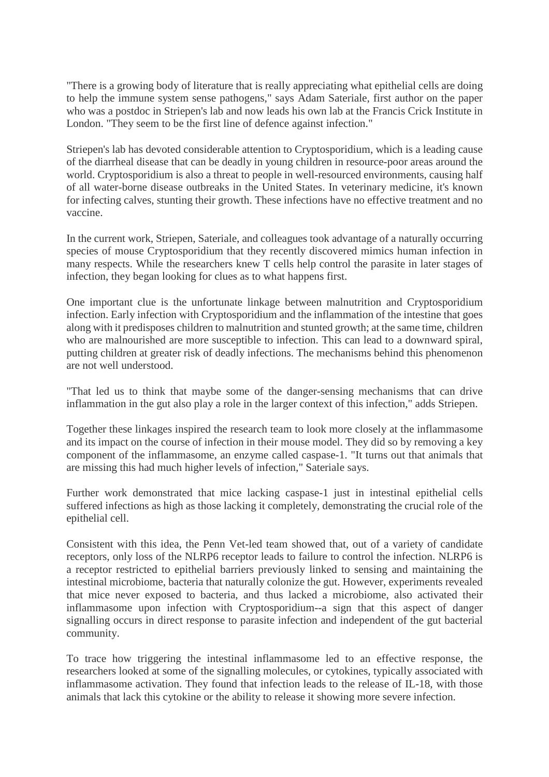"There is a growing body of literature that is really appreciating what epithelial cells are doing to help the immune system sense pathogens," says Adam Sateriale, first author on the paper who was a postdoc in Striepen's lab and now leads his own lab at the Francis Crick Institute in London. "They seem to be the first line of defence against infection."

Striepen's lab has devoted considerable attention to Cryptosporidium, which is a leading cause of the diarrheal disease that can be deadly in young children in resource-poor areas around the world. Cryptosporidium is also a threat to people in well-resourced environments, causing half of all water-borne disease outbreaks in the United States. In veterinary medicine, it's known for infecting calves, stunting their growth. These infections have no effective treatment and no vaccine.

In the current work, Striepen, Sateriale, and colleagues took advantage of a naturally occurring species of mouse Cryptosporidium that they recently discovered mimics human infection in many respects. While the researchers knew T cells help control the parasite in later stages of infection, they began looking for clues as to what happens first.

One important clue is the unfortunate linkage between malnutrition and Cryptosporidium infection. Early infection with Cryptosporidium and the inflammation of the intestine that goes along with it predisposes children to malnutrition and stunted growth; at the same time, children who are malnourished are more susceptible to infection. This can lead to a downward spiral, putting children at greater risk of deadly infections. The mechanisms behind this phenomenon are not well understood.

"That led us to think that maybe some of the danger-sensing mechanisms that can drive inflammation in the gut also play a role in the larger context of this infection," adds Striepen.

Together these linkages inspired the research team to look more closely at the inflammasome and its impact on the course of infection in their mouse model. They did so by removing a key component of the inflammasome, an enzyme called caspase-1. "It turns out that animals that are missing this had much higher levels of infection," Sateriale says.

Further work demonstrated that mice lacking caspase-1 just in intestinal epithelial cells suffered infections as high as those lacking it completely, demonstrating the crucial role of the epithelial cell.

Consistent with this idea, the Penn Vet-led team showed that, out of a variety of candidate receptors, only loss of the NLRP6 receptor leads to failure to control the infection. NLRP6 is a receptor restricted to epithelial barriers previously linked to sensing and maintaining the intestinal microbiome, bacteria that naturally colonize the gut. However, experiments revealed that mice never exposed to bacteria, and thus lacked a microbiome, also activated their inflammasome upon infection with Cryptosporidium--a sign that this aspect of danger signalling occurs in direct response to parasite infection and independent of the gut bacterial community.

To trace how triggering the intestinal inflammasome led to an effective response, the researchers looked at some of the signalling molecules, or cytokines, typically associated with inflammasome activation. They found that infection leads to the release of IL-18, with those animals that lack this cytokine or the ability to release it showing more severe infection.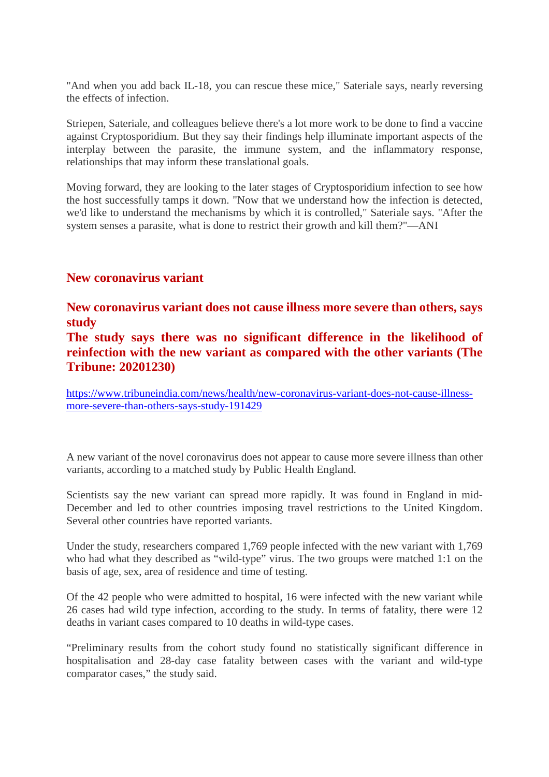"And when you add back IL-18, you can rescue these mice," Sateriale says, nearly reversing the effects of infection.

Striepen, Sateriale, and colleagues believe there's a lot more work to be done to find a vaccine against Cryptosporidium. But they say their findings help illuminate important aspects of the interplay between the parasite, the immune system, and the inflammatory response, relationships that may inform these translational goals.

Moving forward, they are looking to the later stages of Cryptosporidium infection to see how the host successfully tamps it down. "Now that we understand how the infection is detected, we'd like to understand the mechanisms by which it is controlled," Sateriale says. "After the system senses a parasite, what is done to restrict their growth and kill them?"—ANI

#### **New coronavirus variant**

**New coronavirus variant does not cause illness more severe than others, says study**

**The study says there was no significant difference in the likelihood of reinfection with the new variant as compared with the other variants (The Tribune: 20201230)**

https://www.tribuneindia.com/news/health/new-coronavirus-variant-does-not-cause-illnessmore-severe-than-others-says-study-191429

A new variant of the novel coronavirus does not appear to cause more severe illness than other variants, according to a matched study by Public Health England.

Scientists say the new variant can spread more rapidly. It was found in England in mid-December and led to other countries imposing travel restrictions to the United Kingdom. Several other countries have reported variants.

Under the study, researchers compared 1,769 people infected with the new variant with 1,769 who had what they described as "wild-type" virus. The two groups were matched 1:1 on the basis of age, sex, area of residence and time of testing.

Of the 42 people who were admitted to hospital, 16 were infected with the new variant while 26 cases had wild type infection, according to the study. In terms of fatality, there were 12 deaths in variant cases compared to 10 deaths in wild-type cases.

"Preliminary results from the cohort study found no statistically significant difference in hospitalisation and 28-day case fatality between cases with the variant and wild-type comparator cases," the study said.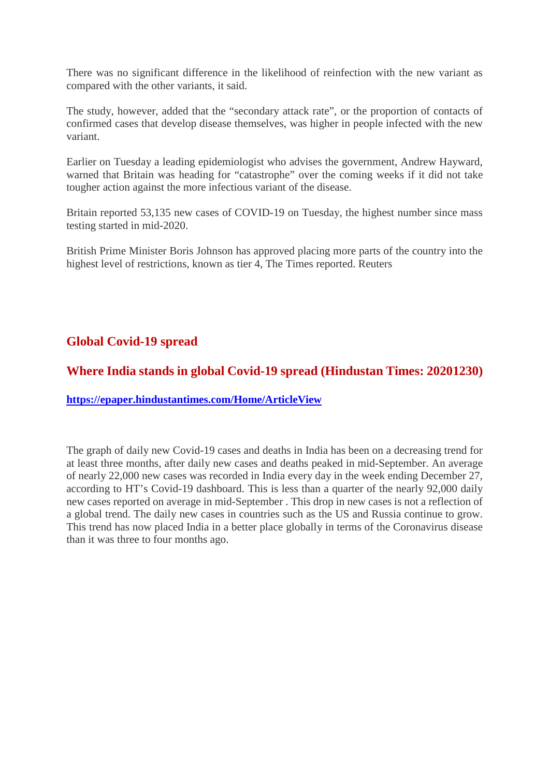There was no significant difference in the likelihood of reinfection with the new variant as compared with the other variants, it said.

The study, however, added that the "secondary attack rate", or the proportion of contacts of confirmed cases that develop disease themselves, was higher in people infected with the new variant.

Earlier on Tuesday a leading epidemiologist who advises the government, Andrew Hayward, warned that Britain was heading for "catastrophe" over the coming weeks if it did not take tougher action against the more infectious variant of the disease.

Britain reported 53,135 new cases of COVID-19 on Tuesday, the highest number since mass testing started in mid-2020.

British Prime Minister Boris Johnson has approved placing more parts of the country into the highest level of restrictions, known as tier 4, The Times reported. Reuters

#### **Global Covid-19 spread**

#### **Where India stands in global Covid-19 spread (Hindustan Times: 20201230)**

**https://epaper.hindustantimes.com/Home/ArticleView**

The graph of daily new Covid-19 cases and deaths in India has been on a decreasing trend for at least three months, after daily new cases and deaths peaked in mid-September. An average of nearly 22,000 new cases was recorded in India every day in the week ending December 27, according to HT's Covid-19 dashboard. This is less than a quarter of the nearly 92,000 daily new cases reported on average in mid-September . This drop in new cases is not a reflection of a global trend. The daily new cases in countries such as the US and Russia continue to grow. This trend has now placed India in a better place globally in terms of the Coronavirus disease than it was three to four months ago.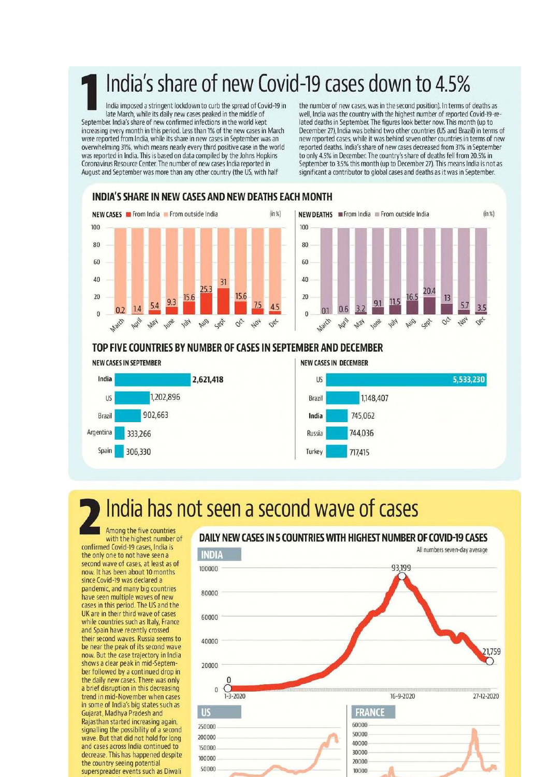### India's share of new Covid-19 cases down to 4.5%

India imposed a stringent lockdown to curb the spread of Covid-19 in late March, while its daily new cases peaked in the middle of September. India's share of new confirmed infections in the world kept increasing every month in this period. Less than 1% of the new cases in March were reported from India, while its share in new cases in September was an overwhelming 31%, which means nearly every third positive case in the world was reported in India. This is based on data compiled by the Johns Hopkins Coronavirus Resource Center. The number of new cases India reported in August and September was more than any other country (the US, with half

the number of new cases, was in the second position). In terms of deaths as well, India was the country with the highest number of reported Covid-19-related deaths in September. The figures look better now. This month (up to December 27), India was behind two other countries (US and Brazil) in terms of new reported cases, while it was behind seven other countries in terms of new reported deaths. India's share of new cases decreased from 31% in September to only 4.5% in December. The country's share of deaths fell from 20.5% in September to 3.5% this month (up to December 27). This means India is not as significant a contributor to global cases and deaths as it was in September.

#### INDIA'S SHARE IN NEW CASES AND NEW DEATHS EACH MONTH





#### TOP FIVE COUNTRIES BY NUMBER OF CASES IN SEPTEMBER AND DECEMBER



### India has not seen a second wave of cases

Among the five countries with the highest number of confirmed Covid-19 cases, India is the only one to not have seen a second wave of cases, at least as of now. It has been about 10 months since Covid-19 was declared a pandemic, and many big countries have seen multiple waves of new<br>cases in this period. The US and the UK are in their third wave of cases while countries such as Italy, France and Spain have recently crossed their second waves. Russia seems to<br>be near the peak of its second wave now. But the case trajectory in India shows a clear peak in mid-September followed by a continued drop in the daily new cases. There was only a brief disruption in this decreasing trend in mid-November when cases in some of India's big states such as Gujarat, Madhya Pradesh and Rajasthan started increasing again, signalling the possibility of a second wave. But that did not hold for long and cases across India continued to decrease. This has happened despite the country seeing potential superspreader events such as Diwali

#### DAILY NEW CASES IN 5 COUNTRIES WITH HIGHEST NUMBER OF COVID-19 CASES

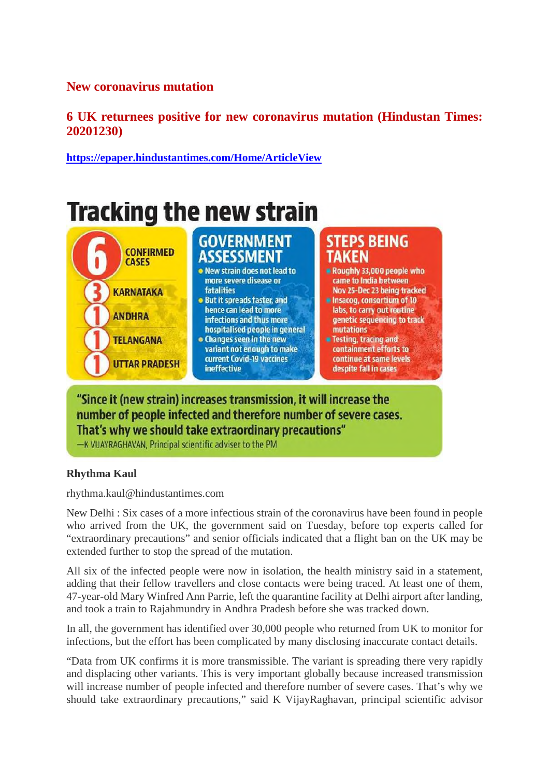#### **New coronavirus mutation**

#### **6 UK returnees positive for new coronavirus mutation (Hindustan Times: 20201230)**

**https://epaper.hindustantimes.com/Home/ArticleView**



#### "Since it (new strain) increases transmission, it will increase the number of people infected and therefore number of severe cases. That's why we should take extraordinary precautions"

-K VUAYRAGHAVAN, Principal scientific adviser to the PM

#### **Rhythma Kaul**

rhythma.kaul@hindustantimes.com

New Delhi : Six cases of a more infectious strain of the coronavirus have been found in people who arrived from the UK, the government said on Tuesday, before top experts called for "extraordinary precautions" and senior officials indicated that a flight ban on the UK may be extended further to stop the spread of the mutation.

All six of the infected people were now in isolation, the health ministry said in a statement, adding that their fellow travellers and close contacts were being traced. At least one of them, 47-year-old Mary Winfred Ann Parrie, left the quarantine facility at Delhi airport after landing, and took a train to Rajahmundry in Andhra Pradesh before she was tracked down.

In all, the government has identified over 30,000 people who returned from UK to monitor for infections, but the effort has been complicated by many disclosing inaccurate contact details.

"Data from UK confirms it is more transmissible. The variant is spreading there very rapidly and displacing other variants. This is very important globally because increased transmission will increase number of people infected and therefore number of severe cases. That's why we should take extraordinary precautions," said K VijayRaghavan, principal scientific advisor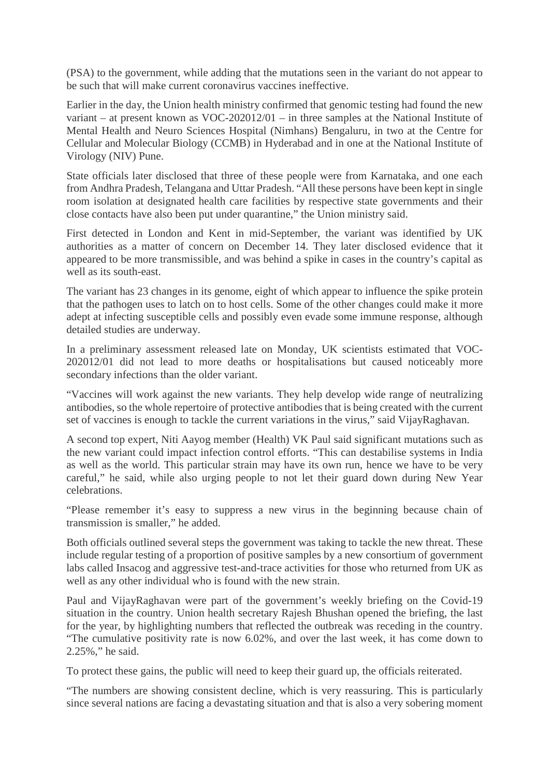(PSA) to the government, while adding that the mutations seen in the variant do not appear to be such that will make current coronavirus vaccines ineffective.

Earlier in the day, the Union health ministry confirmed that genomic testing had found the new variant – at present known as VOC-202012/01 – in three samples at the National Institute of Mental Health and Neuro Sciences Hospital (Nimhans) Bengaluru, in two at the Centre for Cellular and Molecular Biology (CCMB) in Hyderabad and in one at the National Institute of Virology (NIV) Pune.

State officials later disclosed that three of these people were from Karnataka, and one each from Andhra Pradesh, Telangana and Uttar Pradesh. "All these persons have been kept in single room isolation at designated health care facilities by respective state governments and their close contacts have also been put under quarantine," the Union ministry said.

First detected in London and Kent in mid-September, the variant was identified by UK authorities as a matter of concern on December 14. They later disclosed evidence that it appeared to be more transmissible, and was behind a spike in cases in the country's capital as well as its south-east.

The variant has 23 changes in its genome, eight of which appear to influence the spike protein that the pathogen uses to latch on to host cells. Some of the other changes could make it more adept at infecting susceptible cells and possibly even evade some immune response, although detailed studies are underway.

In a preliminary assessment released late on Monday, UK scientists estimated that VOC-202012/01 did not lead to more deaths or hospitalisations but caused noticeably more secondary infections than the older variant.

"Vaccines will work against the new variants. They help develop wide range of neutralizing antibodies, so the whole repertoire of protective antibodies that is being created with the current set of vaccines is enough to tackle the current variations in the virus," said VijayRaghavan.

A second top expert, Niti Aayog member (Health) VK Paul said significant mutations such as the new variant could impact infection control efforts. "This can destabilise systems in India as well as the world. This particular strain may have its own run, hence we have to be very careful," he said, while also urging people to not let their guard down during New Year celebrations.

"Please remember it's easy to suppress a new virus in the beginning because chain of transmission is smaller," he added.

Both officials outlined several steps the government was taking to tackle the new threat. These include regular testing of a proportion of positive samples by a new consortium of government labs called Insacog and aggressive test-and-trace activities for those who returned from UK as well as any other individual who is found with the new strain.

Paul and VijayRaghavan were part of the government's weekly briefing on the Covid-19 situation in the country. Union health secretary Rajesh Bhushan opened the briefing, the last for the year, by highlighting numbers that reflected the outbreak was receding in the country. "The cumulative positivity rate is now 6.02%, and over the last week, it has come down to 2.25%," he said.

To protect these gains, the public will need to keep their guard up, the officials reiterated.

"The numbers are showing consistent decline, which is very reassuring. This is particularly since several nations are facing a devastating situation and that is also a very sobering moment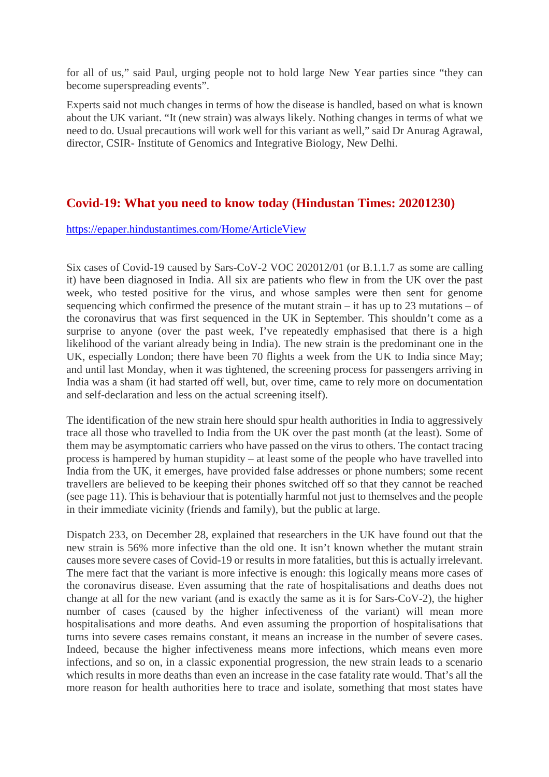for all of us," said Paul, urging people not to hold large New Year parties since "they can become superspreading events".

Experts said not much changes in terms of how the disease is handled, based on what is known about the UK variant. "It (new strain) was always likely. Nothing changes in terms of what we need to do. Usual precautions will work well for this variant as well," said Dr Anurag Agrawal, director, CSIR- Institute of Genomics and Integrative Biology, New Delhi.

#### **Covid-19: What you need to know today (Hindustan Times: 20201230)**

https://epaper.hindustantimes.com/Home/ArticleView

Six cases of Covid-19 caused by Sars-CoV-2 VOC 202012/01 (or B.1.1.7 as some are calling it) have been diagnosed in India. All six are patients who flew in from the UK over the past week, who tested positive for the virus, and whose samples were then sent for genome sequencing which confirmed the presence of the mutant strain – it has up to 23 mutations – of the coronavirus that was first sequenced in the UK in September. This shouldn't come as a surprise to anyone (over the past week, I've repeatedly emphasised that there is a high likelihood of the variant already being in India). The new strain is the predominant one in the UK, especially London; there have been 70 flights a week from the UK to India since May; and until last Monday, when it was tightened, the screening process for passengers arriving in India was a sham (it had started off well, but, over time, came to rely more on documentation and self-declaration and less on the actual screening itself).

The identification of the new strain here should spur health authorities in India to aggressively trace all those who travelled to India from the UK over the past month (at the least). Some of them may be asymptomatic carriers who have passed on the virus to others. The contact tracing process is hampered by human stupidity – at least some of the people who have travelled into India from the UK, it emerges, have provided false addresses or phone numbers; some recent travellers are believed to be keeping their phones switched off so that they cannot be reached (see page 11). This is behaviour that is potentially harmful not just to themselves and the people in their immediate vicinity (friends and family), but the public at large.

Dispatch 233, on December 28, explained that researchers in the UK have found out that the new strain is 56% more infective than the old one. It isn't known whether the mutant strain causes more severe cases of Covid-19 or results in more fatalities, but this is actually irrelevant. The mere fact that the variant is more infective is enough: this logically means more cases of the coronavirus disease. Even assuming that the rate of hospitalisations and deaths does not change at all for the new variant (and is exactly the same as it is for Sars-CoV-2), the higher number of cases (caused by the higher infectiveness of the variant) will mean more hospitalisations and more deaths. And even assuming the proportion of hospitalisations that turns into severe cases remains constant, it means an increase in the number of severe cases. Indeed, because the higher infectiveness means more infections, which means even more infections, and so on, in a classic exponential progression, the new strain leads to a scenario which results in more deaths than even an increase in the case fatality rate would. That's all the more reason for health authorities here to trace and isolate, something that most states have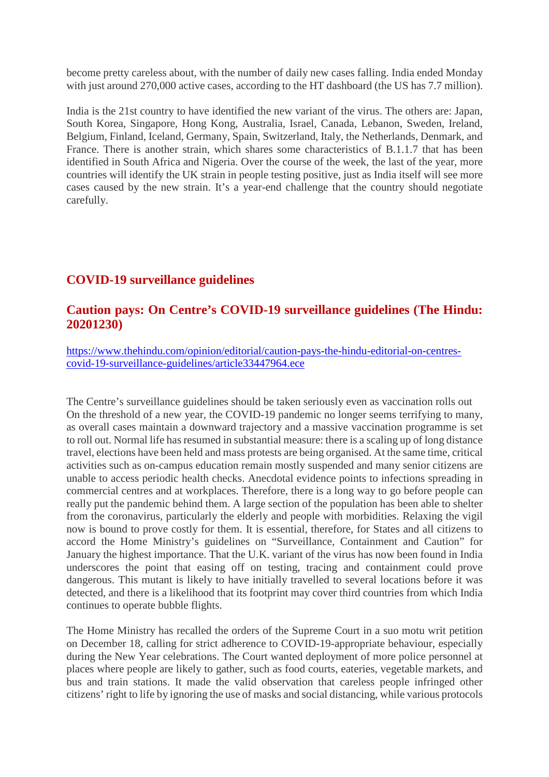become pretty careless about, with the number of daily new cases falling. India ended Monday with just around 270,000 active cases, according to the HT dashboard (the US has 7.7 million).

India is the 21st country to have identified the new variant of the virus. The others are: Japan, South Korea, Singapore, Hong Kong, Australia, Israel, Canada, Lebanon, Sweden, Ireland, Belgium, Finland, Iceland, Germany, Spain, Switzerland, Italy, the Netherlands, Denmark, and France. There is another strain, which shares some characteristics of B.1.1.7 that has been identified in South Africa and Nigeria. Over the course of the week, the last of the year, more countries will identify the UK strain in people testing positive, just as India itself will see more cases caused by the new strain. It's a year-end challenge that the country should negotiate carefully.

#### **COVID-19 surveillance guidelines**

#### **Caution pays: On Centre's COVID-19 surveillance guidelines (The Hindu: 20201230)**

https://www.thehindu.com/opinion/editorial/caution-pays-the-hindu-editorial-on-centrescovid-19-surveillance-guidelines/article33447964.ece

The Centre's surveillance guidelines should be taken seriously even as vaccination rolls out On the threshold of a new year, the COVID-19 pandemic no longer seems terrifying to many, as overall cases maintain a downward trajectory and a massive vaccination programme is set to roll out. Normal life has resumed in substantial measure: there is a scaling up of long distance travel, elections have been held and mass protests are being organised. At the same time, critical activities such as on-campus education remain mostly suspended and many senior citizens are unable to access periodic health checks. Anecdotal evidence points to infections spreading in commercial centres and at workplaces. Therefore, there is a long way to go before people can really put the pandemic behind them. A large section of the population has been able to shelter from the coronavirus, particularly the elderly and people with morbidities. Relaxing the vigil now is bound to prove costly for them. It is essential, therefore, for States and all citizens to accord the Home Ministry's guidelines on "Surveillance, Containment and Caution" for January the highest importance. That the U.K. variant of the virus has now been found in India underscores the point that easing off on testing, tracing and containment could prove dangerous. This mutant is likely to have initially travelled to several locations before it was detected, and there is a likelihood that its footprint may cover third countries from which India continues to operate bubble flights.

The Home Ministry has recalled the orders of the Supreme Court in a suo motu writ petition on December 18, calling for strict adherence to COVID-19-appropriate behaviour, especially during the New Year celebrations. The Court wanted deployment of more police personnel at places where people are likely to gather, such as food courts, eateries, vegetable markets, and bus and train stations. It made the valid observation that careless people infringed other citizens' right to life by ignoring the use of masks and social distancing, while various protocols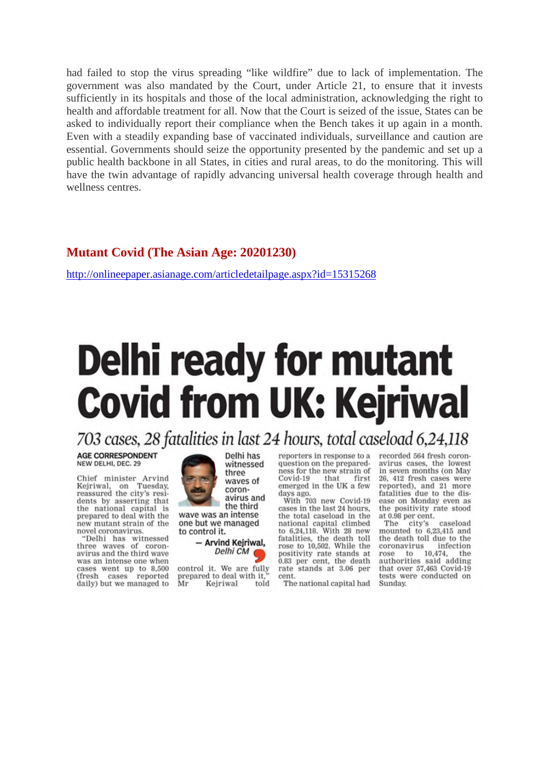had failed to stop the virus spreading "like wildfire" due to lack of implementation. The government was also mandated by the Court, under Article 21, to ensure that it invests sufficiently in its hospitals and those of the local administration, acknowledging the right to health and affordable treatment for all. Now that the Court is seized of the issue, States can be asked to individually report their compliance when the Bench takes it up again in a month. Even with a steadily expanding base of vaccinated individuals, surveillance and caution are essential. Governments should seize the opportunity presented by the pandemic and set up a public health backbone in all States, in cities and rural areas, to do the monitoring. This will have the twin advantage of rapidly advancing universal health coverage through health and wellness centres.

#### **Mutant Covid (The Asian Age: 20201230)**

http://onlineepaper.asianage.com/articledetailpage.aspx?id=15315268

## **Delhi ready for mutant Covid from UK: Kejriwal**

703 cases, 28 fatalities in last 24 hours, total caseload 6,24,118

**AGE CORRESPONDENT** NEW DELHI, DEC. 29

Chief minister Arvind<br>Kejriwal, on Tuesday, Kejriwal, on Tuesday,<br>reassured the city's residents by asserting that the national capital is prepared to deal with the new mutant strain of the novel coronavirus.

"Delhi has witnessed three waves of coronavirus and the third wave was an intense one when cases went up to 8,500 (fresh cases reported daily) but we managed to

Delhi has witnessed three waves of coronavirus and the third wave was an intense one but we managed to control it.

> - Arvind Kejriwal, Delhi CM

control it. We are fully prepared to deal with it. Mr Kejriwal told reporters in response to a question on the preparedness for the new strain of Covid-19 that first emerged in the UK a few days ago.

With 703 new Covid-19 cases in the last 24 hours. the total caseload in the national capital climbed to 6,24,118. With 28 new fatalities, the death toll<br>rose to 10,502. While the positivity rate stands at 0.83 per cent, the death rate stands at 3.06 per cent.

The national capital had

recorded 564 fresh coronavirus cases, the lowest in seven months (on May 26, 412 fresh cases were reported), and 21 more<br>fatalities due to the dis-<br>ease on Monday even as the positivity rate stood at 0.98 per cent.

The city's caseload mounted to 6,23,415 and the death toll due to the coronavirus infection rose to 10,474, the<br>authorities said adding<br>that over 57,463 Covid-19 tests were conducted on Sunday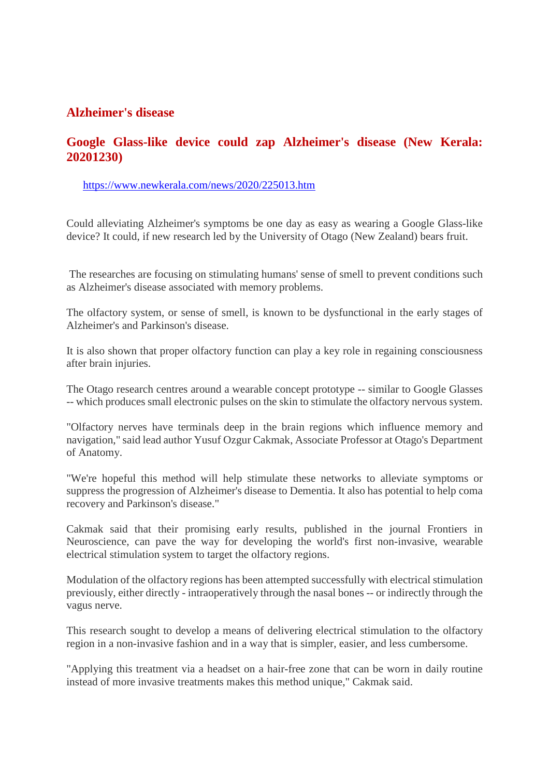#### **Alzheimer's disease**

#### **Google Glass-like device could zap Alzheimer's disease (New Kerala: 20201230)**

#### https://www.newkerala.com/news/2020/225013.htm

Could alleviating Alzheimer's symptoms be one day as easy as wearing a Google Glass-like device? It could, if new research led by the University of Otago (New Zealand) bears fruit.

The researches are focusing on stimulating humans' sense of smell to prevent conditions such as Alzheimer's disease associated with memory problems.

The olfactory system, or sense of smell, is known to be dysfunctional in the early stages of Alzheimer's and Parkinson's disease.

It is also shown that proper olfactory function can play a key role in regaining consciousness after brain injuries.

The Otago research centres around a wearable concept prototype -- similar to Google Glasses -- which produces small electronic pulses on the skin to stimulate the olfactory nervous system.

"Olfactory nerves have terminals deep in the brain regions which influence memory and navigation," said lead author Yusuf Ozgur Cakmak, Associate Professor at Otago's Department of Anatomy.

"We're hopeful this method will help stimulate these networks to alleviate symptoms or suppress the progression of Alzheimer's disease to Dementia. It also has potential to help coma recovery and Parkinson's disease."

Cakmak said that their promising early results, published in the journal Frontiers in Neuroscience, can pave the way for developing the world's first non-invasive, wearable electrical stimulation system to target the olfactory regions.

Modulation of the olfactory regions has been attempted successfully with electrical stimulation previously, either directly - intraoperatively through the nasal bones -- or indirectly through the vagus nerve.

This research sought to develop a means of delivering electrical stimulation to the olfactory region in a non-invasive fashion and in a way that is simpler, easier, and less cumbersome.

"Applying this treatment via a headset on a hair-free zone that can be worn in daily routine instead of more invasive treatments makes this method unique," Cakmak said.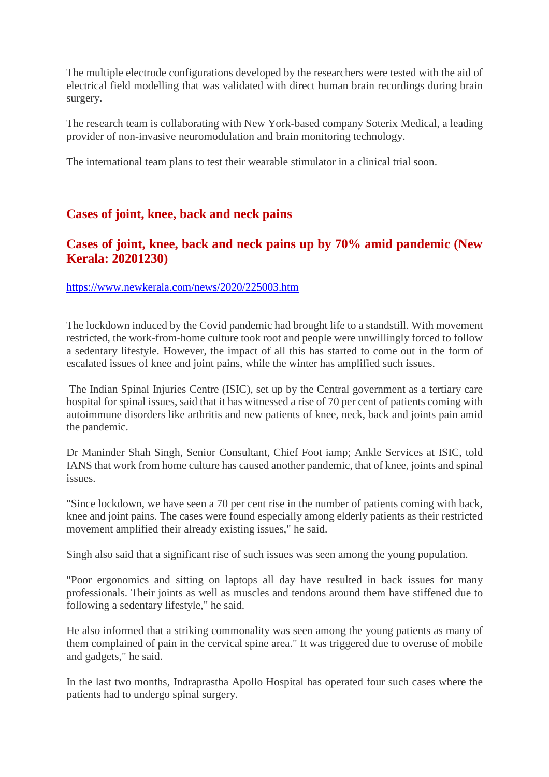The multiple electrode configurations developed by the researchers were tested with the aid of electrical field modelling that was validated with direct human brain recordings during brain surgery.

The research team is collaborating with New York-based company Soterix Medical, a leading provider of non-invasive neuromodulation and brain monitoring technology.

The international team plans to test their wearable stimulator in a clinical trial soon.

#### **Cases of joint, knee, back and neck pains**

#### **Cases of joint, knee, back and neck pains up by 70% amid pandemic (New Kerala: 20201230)**

#### https://www.newkerala.com/news/2020/225003.htm

The lockdown induced by the Covid pandemic had brought life to a standstill. With movement restricted, the work-from-home culture took root and people were unwillingly forced to follow a sedentary lifestyle. However, the impact of all this has started to come out in the form of escalated issues of knee and joint pains, while the winter has amplified such issues.

The Indian Spinal Injuries Centre (ISIC), set up by the Central government as a tertiary care hospital for spinal issues, said that it has witnessed a rise of 70 per cent of patients coming with autoimmune disorders like arthritis and new patients of knee, neck, back and joints pain amid the pandemic.

Dr Maninder Shah Singh, Senior Consultant, Chief Foot iamp; Ankle Services at ISIC, told IANS that work from home culture has caused another pandemic, that of knee, joints and spinal issues.

"Since lockdown, we have seen a 70 per cent rise in the number of patients coming with back, knee and joint pains. The cases were found especially among elderly patients as their restricted movement amplified their already existing issues," he said.

Singh also said that a significant rise of such issues was seen among the young population.

"Poor ergonomics and sitting on laptops all day have resulted in back issues for many professionals. Their joints as well as muscles and tendons around them have stiffened due to following a sedentary lifestyle," he said.

He also informed that a striking commonality was seen among the young patients as many of them complained of pain in the cervical spine area." It was triggered due to overuse of mobile and gadgets," he said.

In the last two months, Indraprastha Apollo Hospital has operated four such cases where the patients had to undergo spinal surgery.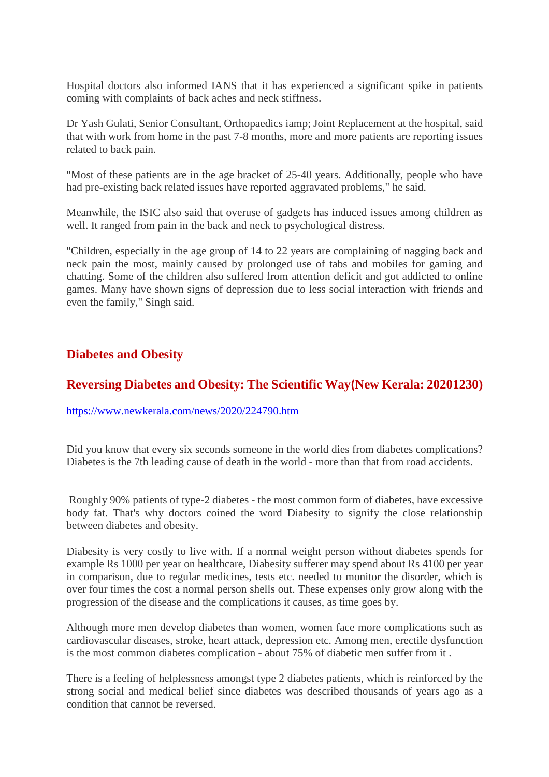Hospital doctors also informed IANS that it has experienced a significant spike in patients coming with complaints of back aches and neck stiffness.

Dr Yash Gulati, Senior Consultant, Orthopaedics iamp; Joint Replacement at the hospital, said that with work from home in the past 7-8 months, more and more patients are reporting issues related to back pain.

"Most of these patients are in the age bracket of 25-40 years. Additionally, people who have had pre-existing back related issues have reported aggravated problems," he said.

Meanwhile, the ISIC also said that overuse of gadgets has induced issues among children as well. It ranged from pain in the back and neck to psychological distress.

"Children, especially in the age group of 14 to 22 years are complaining of nagging back and neck pain the most, mainly caused by prolonged use of tabs and mobiles for gaming and chatting. Some of the children also suffered from attention deficit and got addicted to online games. Many have shown signs of depression due to less social interaction with friends and even the family," Singh said.

#### **Diabetes and Obesity**

#### **Reversing Diabetes and Obesity: The Scientific Way(New Kerala: 20201230)**

#### https://www.newkerala.com/news/2020/224790.htm

Did you know that every six seconds someone in the world dies from diabetes complications? Diabetes is the 7th leading cause of death in the world - more than that from road accidents.

Roughly 90% patients of type-2 diabetes - the most common form of diabetes, have excessive body fat. That's why doctors coined the word Diabesity to signify the close relationship between diabetes and obesity.

Diabesity is very costly to live with. If a normal weight person without diabetes spends for example Rs 1000 per year on healthcare, Diabesity sufferer may spend about Rs 4100 per year in comparison, due to regular medicines, tests etc. needed to monitor the disorder, which is over four times the cost a normal person shells out. These expenses only grow along with the progression of the disease and the complications it causes, as time goes by.

Although more men develop diabetes than women, women face more complications such as cardiovascular diseases, stroke, heart attack, depression etc. Among men, erectile dysfunction is the most common diabetes complication - about 75% of diabetic men suffer from it .

There is a feeling of helplessness amongst type 2 diabetes patients, which is reinforced by the strong social and medical belief since diabetes was described thousands of years ago as a condition that cannot be reversed.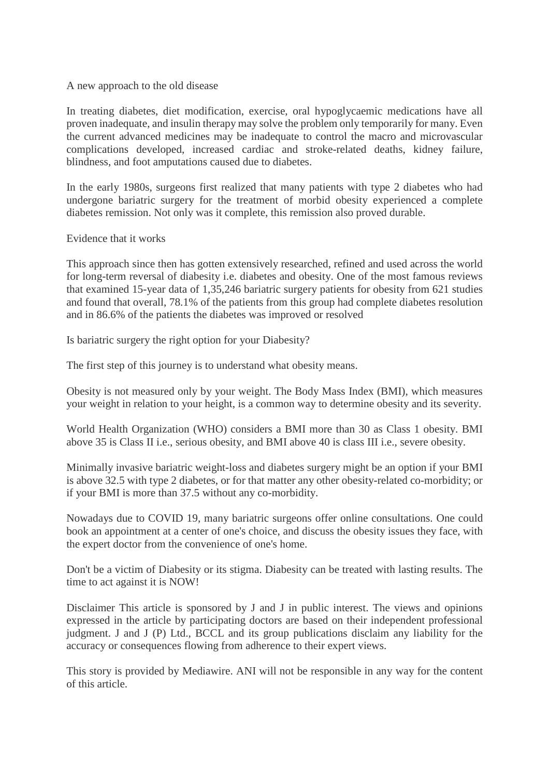#### A new approach to the old disease

In treating diabetes, diet modification, exercise, oral hypoglycaemic medications have all proven inadequate, and insulin therapy may solve the problem only temporarily for many. Even the current advanced medicines may be inadequate to control the macro and microvascular complications developed, increased cardiac and stroke-related deaths, kidney failure, blindness, and foot amputations caused due to diabetes.

In the early 1980s, surgeons first realized that many patients with type 2 diabetes who had undergone bariatric surgery for the treatment of morbid obesity experienced a complete diabetes remission. Not only was it complete, this remission also proved durable.

#### Evidence that it works

This approach since then has gotten extensively researched, refined and used across the world for long-term reversal of diabesity i.e. diabetes and obesity. One of the most famous reviews that examined 15-year data of 1,35,246 bariatric surgery patients for obesity from 621 studies and found that overall, 78.1% of the patients from this group had complete diabetes resolution and in 86.6% of the patients the diabetes was improved or resolved

Is bariatric surgery the right option for your Diabesity?

The first step of this journey is to understand what obesity means.

Obesity is not measured only by your weight. The Body Mass Index (BMI), which measures your weight in relation to your height, is a common way to determine obesity and its severity.

World Health Organization (WHO) considers a BMI more than 30 as Class 1 obesity. BMI above 35 is Class II i.e., serious obesity, and BMI above 40 is class III i.e., severe obesity.

Minimally invasive bariatric weight-loss and diabetes surgery might be an option if your BMI is above 32.5 with type 2 diabetes, or for that matter any other obesity-related co-morbidity; or if your BMI is more than 37.5 without any co-morbidity.

Nowadays due to COVID 19, many bariatric surgeons offer online consultations. One could book an appointment at a center of one's choice, and discuss the obesity issues they face, with the expert doctor from the convenience of one's home.

Don't be a victim of Diabesity or its stigma. Diabesity can be treated with lasting results. The time to act against it is NOW!

Disclaimer This article is sponsored by J and J in public interest. The views and opinions expressed in the article by participating doctors are based on their independent professional judgment. J and J (P) Ltd., BCCL and its group publications disclaim any liability for the accuracy or consequences flowing from adherence to their expert views.

This story is provided by Mediawire. ANI will not be responsible in any way for the content of this article.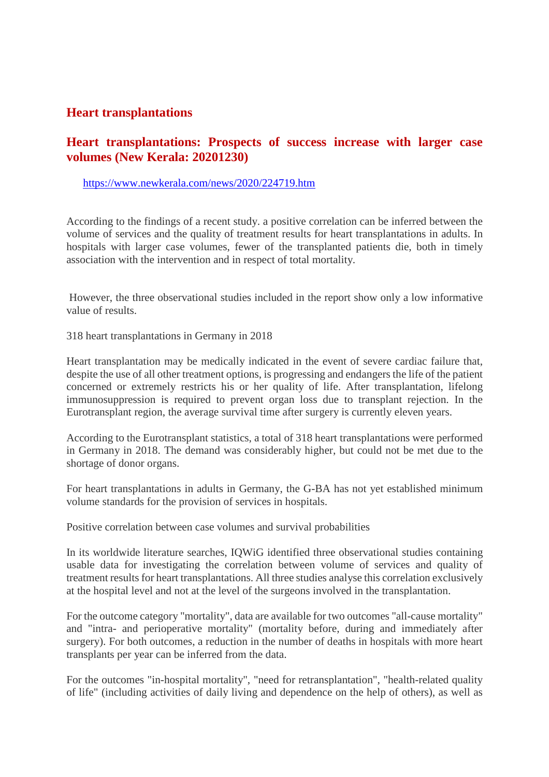#### **Heart transplantations**

#### **Heart transplantations: Prospects of success increase with larger case volumes (New Kerala: 20201230)**

#### https://www.newkerala.com/news/2020/224719.htm

According to the findings of a recent study. a positive correlation can be inferred between the volume of services and the quality of treatment results for heart transplantations in adults. In hospitals with larger case volumes, fewer of the transplanted patients die, both in timely association with the intervention and in respect of total mortality.

However, the three observational studies included in the report show only a low informative value of results.

318 heart transplantations in Germany in 2018

Heart transplantation may be medically indicated in the event of severe cardiac failure that, despite the use of all other treatment options, is progressing and endangers the life of the patient concerned or extremely restricts his or her quality of life. After transplantation, lifelong immunosuppression is required to prevent organ loss due to transplant rejection. In the Eurotransplant region, the average survival time after surgery is currently eleven years.

According to the Eurotransplant statistics, a total of 318 heart transplantations were performed in Germany in 2018. The demand was considerably higher, but could not be met due to the shortage of donor organs.

For heart transplantations in adults in Germany, the G-BA has not yet established minimum volume standards for the provision of services in hospitals.

Positive correlation between case volumes and survival probabilities

In its worldwide literature searches, IQWiG identified three observational studies containing usable data for investigating the correlation between volume of services and quality of treatment results for heart transplantations. All three studies analyse this correlation exclusively at the hospital level and not at the level of the surgeons involved in the transplantation.

For the outcome category "mortality", data are available for two outcomes "all-cause mortality" and "intra- and perioperative mortality" (mortality before, during and immediately after surgery). For both outcomes, a reduction in the number of deaths in hospitals with more heart transplants per year can be inferred from the data.

For the outcomes "in-hospital mortality", "need for retransplantation", "health-related quality of life" (including activities of daily living and dependence on the help of others), as well as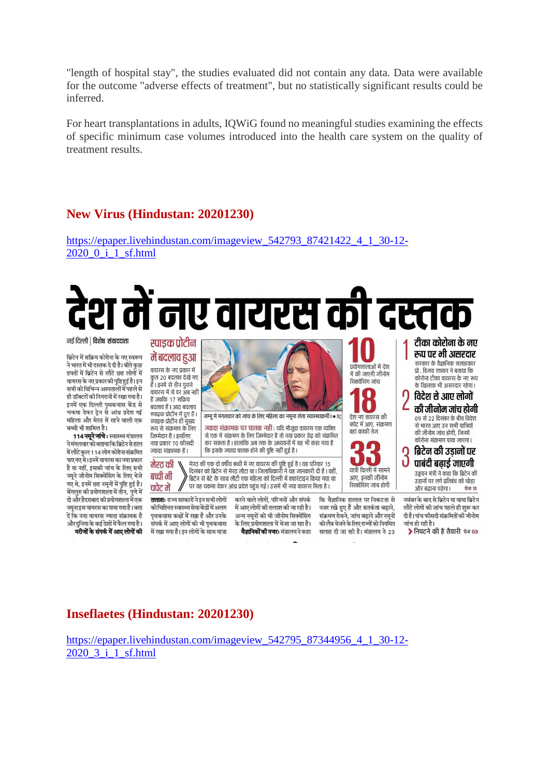"length of hospital stay", the studies evaluated did not contain any data. Data were available for the outcome "adverse effects of treatment", but no statistically significant results could be inferred.

For heart transplantations in adults, IOWiG found no meaningful studies examining the effects of specific minimum case volumes introduced into the health care system on the quality of treatment results.

#### **New Virus (Hindustan: 20201230)**

https://epaper.livehindustan.com/imageview 542793 87421422 4 1 30-12-2020 0 i 1 sf.html

# में नए वायरस की दस्त

नर्ड दिल्ली | विशेष संवाददाता

ब्रिटेन में सक्रिय कोरोना के नए स्वरूप ने भारत में भी दस्तक दे दी है। बीते कुछ हफ्तों में ब्रिटेन से लौटे छह लोगों में वायरस के नए प्रकारकी पृष्टि हुई है। इन सभी को विभिन्न अस्पतालों में पहले से ही डॉक्टरों की निगरानी में रखा गया है। इनमें एक दिल्ली पथकवास केंद्र से चकमा देकर टेन से आंध्र प्रदेश गई महिला और मेरठ में रहने वाली एक बच्ची भी शामिल है।

114 नमूने जांचे: स्वास्थ्य मंत्रालय .<br>ने मंगलवार को बताया कि बिटेन से हाल में लौटे कुल 114 लोग कोरोना संक्रमित पाए गए थे। इनमें वायरस का नया प्रकार है या नहीं, इसकी जांच के लिए सभी नमूने जीनोम सिक्वेंसिंग के लिए भेजे गए थे, इनमें छह नमूनों में पुष्टि हुई है। बेगलुरु की प्रयोगशाला में तीन, पुणे में दो और हैदराबाद की प्रयोगशाला में एक नमनाइस वायरस का पाया गया है। बता दें कि नवा वायरस ज्यादा संक्रामक है और दनिया के कई देशों में फैल गया है। मरीजों के संपर्क में आए लोगों की स्पाडक पोटीन में बदलाव हुआ वायरस के नए प्रकार में कुल 20 बदलाव देखे गए<br>कुल 20 बदलाव देखे गए<br>हैं। इनमें से तीन पुराने वायरस में थे पर अब नहीं हैं जबकि 17 सक्रिय बदलाव हैं। आठ बदलाव स्पाइक प्रोटीन में हुए हैं। स्पाडक पोटीन ही मुख्य रूप से संक्रमण के लिए

जिम्मेदार है। इसलिए नया प्रकार 70 फीसदी ज्यादा संक्रामक है।

मेरट की बच्ची भी चपेट में

> को चिह्नित स्वास्थ्य सेवा केंद्रों में अलग पृथकवास कक्षों में रखा है और उनके संपर्क में आए लोगों को भी पथकवास में रखा गया है। इन लोगों के साथ यात्रा

जम्मू में मंगलवार को जांच के लिए महिला का नमुना लेता स्वास्थ्यकर्मी। • प्रेट

ज्यादा संक्रामक पर घातक नहीं : यदि मौजदा वायरस एक व्यक्ति से एक में संक्रमण के लिए जिम्मेदार है तो नया प्रकार डेढ को संक्रमित कर सकता है। हालांकि अब तक के अध्ययनों में यह भी कहा गया है कि इसके ज्यादा घातक होने की पुष्टि नहीं हुई है।

मेरठ की एक दो वर्षीय बच्ची में नए वायरस की पुष्टि हुई है। यह परिवार 15 दिसंबर को ब्रिटेन से मेरठ लौटा था। जिलाधिकारी ने यह जानकारी दी है। वहीं ब्रिटेन से बेटे के साथ लौटी एक महिला को दिल्ली में क्वारंटाइन किया गया था पर वह चकमा देकर आंध्र प्रदेश पहुंच गई। उसमें भी नया वायरस मिला है।

तलाशः राज्य सरकारों ने इन सभी लोगों

करने वाले लोगों, परिजनों और संपर्क में आए लोगों की तलाश की जा रही है। अन्य नमूनों को भी जीनोम सिक्वेंसिंग के लिए प्रयोगशाला में भेजा जा रहा है। **वैज्ञानिकों की नजरः** मंत्रालय ने कहा

कि वैज्ञानिक हालात पर निकटता से नजर रखे हुए हैं और सतर्कता बढ़ाने, संक्रमण रोकने, जांच बढ़ाने और नमूनों को लैब भेजने के लिए राज्यों को नियमित सलाह दी जा रही है। मंत्रालय ने 23

परोगणालाओं में देश

में की जाएगी जीनोम

 $\bullet$ 

देश नए वायरस की

वहां काफी तेज

चपेट में आए, संक्रमण

60

राावी दिल्ली में सामने

आण इनकी जीनोम

सिक्वेंसिंग जांच होगी

सिक्वेंसिंग जांच

टीका कोरोना के नए रूप पर भी असरदार सरकार के वैज्ञानिक सलाहकार .<br>प्रो. विजय राघवन ने बताया कि कोरोना टीका वायरस के नए रूप के खिलाफ भी असरदार रहेगा। विदेश से आए लोगों की जीनोम जांच होगी

09 से 22 दिसंबर के बीच विदेश .<br>से भारत आए उन सभी यात्रियों की जीनोम जांच होगी, जिनमें कोरोना संक्रमण पाया जाएगा ।

#### $\Omega$  ब्रिटेन की उडानों पर J पाबंदी बढार्ड जाएगी उड्डयन मंत्री ने कहा कि ब्रिटेन की

उडानों पर लगे प्रतिबंध को थोडा और बढाना पडेगा। **पेज 11** 

नवंबर के बाद से ब्रिटेन या वाया ब्रिटेन लौटे लोगों की जांच पहले ही शुरू कर दी है। पांच फीसदी संक्रमितों की जीनोम जांच हो रही है।

▶ निपटने की है तैयारी चेन 03

#### **Inseflactes (Hindustan: 20201230)**

https://epaper.livehindustan.com/imageview 542795 87344956 4 1 30-12-2020 3 i 1 sf.html